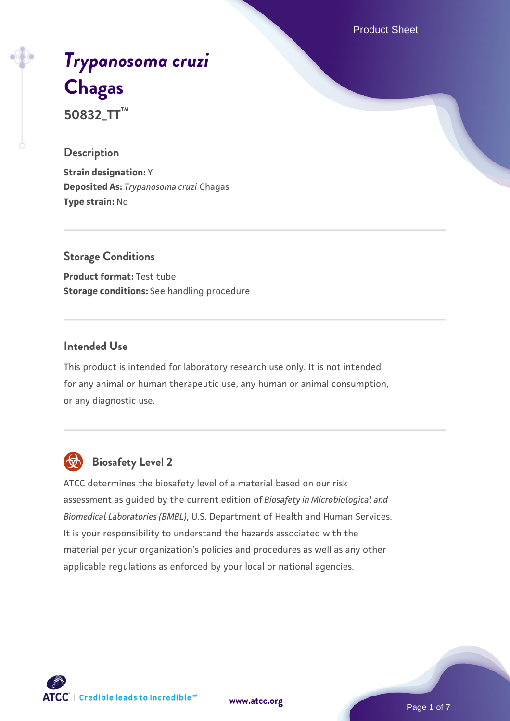Product Sheet

# *[Trypanosoma cruzi](https://www.atcc.org/products/50832_tt)* **[Chagas](https://www.atcc.org/products/50832_tt) 50832\_TT™**

# **Description**

**Strain designation:** Y **Deposited As:** *Trypanosoma cruzi* Chagas **Type strain:** No

# **Storage Conditions**

**Product format:** Test tube **Storage conditions:** See handling procedure

# **Intended Use**

This product is intended for laboratory research use only. It is not intended for any animal or human therapeutic use, any human or animal consumption, or any diagnostic use.



# **Biosafety Level 2**

ATCC determines the biosafety level of a material based on our risk assessment as guided by the current edition of *Biosafety in Microbiological and Biomedical Laboratories (BMBL)*, U.S. Department of Health and Human Services. It is your responsibility to understand the hazards associated with the material per your organization's policies and procedures as well as any other applicable regulations as enforced by your local or national agencies.

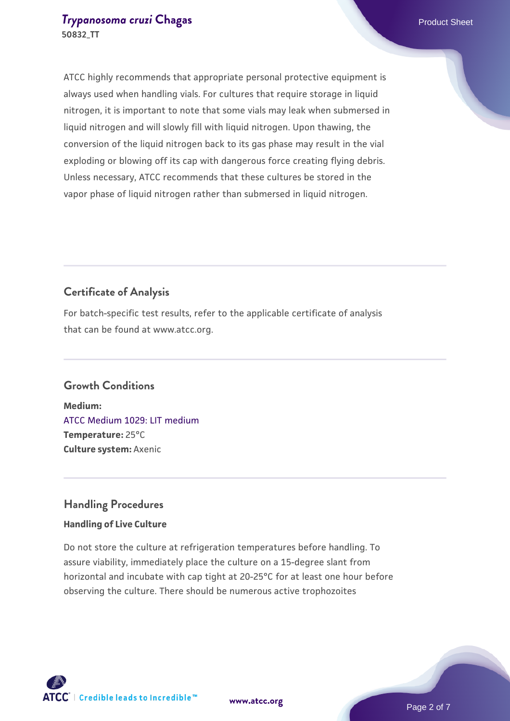## **[Trypanosoma cruzi](https://www.atcc.org/products/50832_tt) [Chagas](https://www.atcc.org/products/50832_tt) Product Sheet** Product Sheet **50832\_TT**

ATCC highly recommends that appropriate personal protective equipment is always used when handling vials. For cultures that require storage in liquid nitrogen, it is important to note that some vials may leak when submersed in liquid nitrogen and will slowly fill with liquid nitrogen. Upon thawing, the conversion of the liquid nitrogen back to its gas phase may result in the vial exploding or blowing off its cap with dangerous force creating flying debris. Unless necessary, ATCC recommends that these cultures be stored in the vapor phase of liquid nitrogen rather than submersed in liquid nitrogen.

# **Certificate of Analysis**

For batch-specific test results, refer to the applicable certificate of analysis that can be found at www.atcc.org.

# **Growth Conditions**

**Medium:**  [ATCC Medium 1029: LIT medium](https://www.atcc.org/-/media/product-assets/documents/microbial-media-formulations/1/0/2/9/atcc-medium-1029.pdf?rev=009b0128e05943ff8e9a510a8b4def08) **Temperature:** 25°C **Culture system:** Axenic

# **Handling Procedures**

### **Handling of Live Culture**

Do not store the culture at refrigeration temperatures before handling. To assure viability, immediately place the culture on a 15-degree slant from horizontal and incubate with cap tight at 20-25°C for at least one hour before observing the culture. There should be numerous active trophozoites

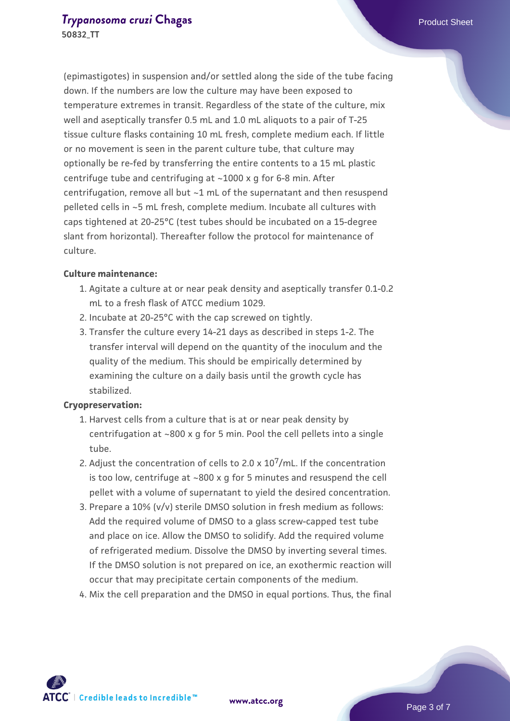(epimastigotes) in suspension and/or settled along the side of the tube facing down. If the numbers are low the culture may have been exposed to temperature extremes in transit. Regardless of the state of the culture, mix well and aseptically transfer 0.5 mL and 1.0 mL aliquots to a pair of T-25 tissue culture flasks containing 10 mL fresh, complete medium each. If little or no movement is seen in the parent culture tube, that culture may optionally be re-fed by transferring the entire contents to a 15 mL plastic centrifuge tube and centrifuging at ~1000 x g for 6-8 min. After centrifugation, remove all but ~1 mL of the supernatant and then resuspend pelleted cells in ~5 mL fresh, complete medium. Incubate all cultures with caps tightened at 20-25°C (test tubes should be incubated on a 15-degree slant from horizontal). Thereafter follow the protocol for maintenance of culture.

#### **Culture maintenance:**

- Agitate a culture at or near peak density and aseptically transfer 0.1-0.2 1. mL to a fresh flask of ATCC medium 1029.
- 2. Incubate at 20-25°C with the cap screwed on tightly.
- 3. Transfer the culture every 14-21 days as described in steps 1-2. The transfer interval will depend on the quantity of the inoculum and the quality of the medium. This should be empirically determined by examining the culture on a daily basis until the growth cycle has stabilized.

#### **Cryopreservation:**

- 1. Harvest cells from a culture that is at or near peak density by centrifugation at ~800 x g for 5 min. Pool the cell pellets into a single tube.
- 2. Adjust the concentration of cells to 2.0 x  $10^7$ /mL. If the concentration is too low, centrifuge at ~800 x g for 5 minutes and resuspend the cell pellet with a volume of supernatant to yield the desired concentration.
- 3. Prepare a 10% (v/v) sterile DMSO solution in fresh medium as follows: Add the required volume of DMSO to a glass screw-capped test tube and place on ice. Allow the DMSO to solidify. Add the required volume of refrigerated medium. Dissolve the DMSO by inverting several times. If the DMSO solution is not prepared on ice, an exothermic reaction will occur that may precipitate certain components of the medium.
- 4. Mix the cell preparation and the DMSO in equal portions. Thus, the final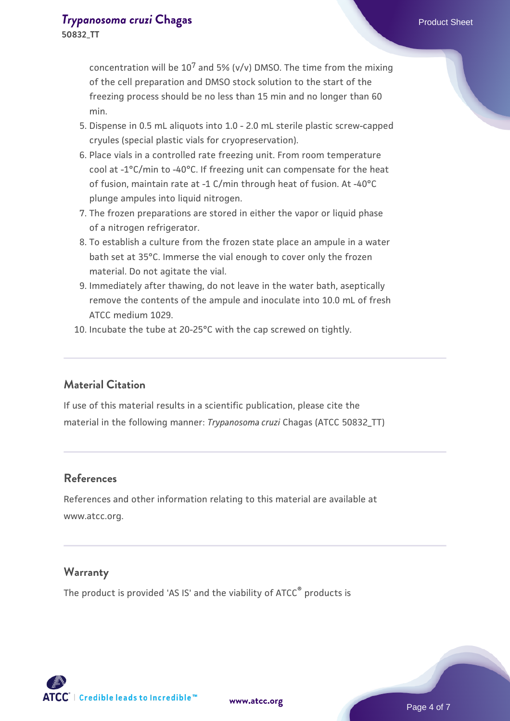concentration will be  $10^7$  and 5% (v/v) DMSO. The time from the mixing of the cell preparation and DMSO stock solution to the start of the freezing process should be no less than 15 min and no longer than 60 min.

- 5. Dispense in 0.5 mL aliquots into 1.0 2.0 mL sterile plastic screw-capped cryules (special plastic vials for cryopreservation).
- 6. Place vials in a controlled rate freezing unit. From room temperature cool at -1°C/min to -40°C. If freezing unit can compensate for the heat of fusion, maintain rate at -1 C/min through heat of fusion. At -40°C plunge ampules into liquid nitrogen.
- The frozen preparations are stored in either the vapor or liquid phase 7. of a nitrogen refrigerator.
- 8. To establish a culture from the frozen state place an ampule in a water bath set at 35°C. Immerse the vial enough to cover only the frozen material. Do not agitate the vial.
- 9. Immediately after thawing, do not leave in the water bath, aseptically remove the contents of the ampule and inoculate into 10.0 mL of fresh ATCC medium 1029.
- 10. Incubate the tube at 20-25°C with the cap screwed on tightly.

# **Material Citation**

If use of this material results in a scientific publication, please cite the material in the following manner: *Trypanosoma cruzi* Chagas (ATCC 50832\_TT)

# **References**

References and other information relating to this material are available at www.atcc.org.

# **Warranty**

The product is provided 'AS IS' and the viability of ATCC<sup>®</sup> products is

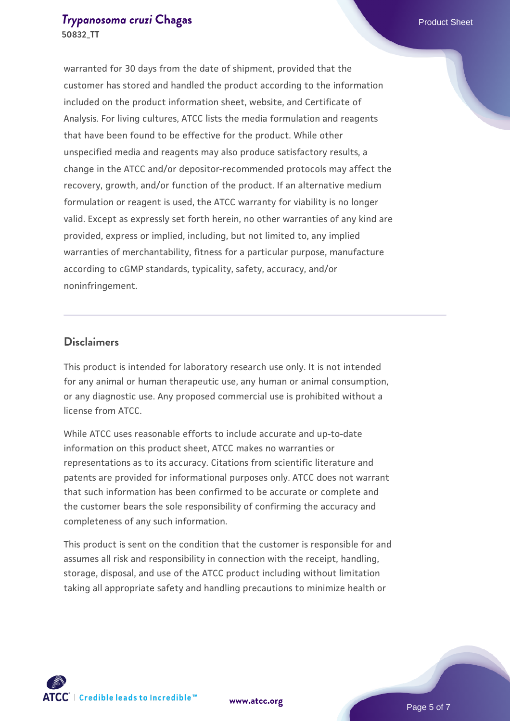### **[Trypanosoma cruzi](https://www.atcc.org/products/50832_tt) [Chagas](https://www.atcc.org/products/50832_tt) Product Sheet** Product Sheet **50832\_TT**

warranted for 30 days from the date of shipment, provided that the customer has stored and handled the product according to the information included on the product information sheet, website, and Certificate of Analysis. For living cultures, ATCC lists the media formulation and reagents that have been found to be effective for the product. While other unspecified media and reagents may also produce satisfactory results, a change in the ATCC and/or depositor-recommended protocols may affect the recovery, growth, and/or function of the product. If an alternative medium formulation or reagent is used, the ATCC warranty for viability is no longer valid. Except as expressly set forth herein, no other warranties of any kind are provided, express or implied, including, but not limited to, any implied warranties of merchantability, fitness for a particular purpose, manufacture according to cGMP standards, typicality, safety, accuracy, and/or noninfringement.

## **Disclaimers**

This product is intended for laboratory research use only. It is not intended for any animal or human therapeutic use, any human or animal consumption, or any diagnostic use. Any proposed commercial use is prohibited without a license from ATCC.

While ATCC uses reasonable efforts to include accurate and up-to-date information on this product sheet, ATCC makes no warranties or representations as to its accuracy. Citations from scientific literature and patents are provided for informational purposes only. ATCC does not warrant that such information has been confirmed to be accurate or complete and the customer bears the sole responsibility of confirming the accuracy and completeness of any such information.

This product is sent on the condition that the customer is responsible for and assumes all risk and responsibility in connection with the receipt, handling, storage, disposal, and use of the ATCC product including without limitation taking all appropriate safety and handling precautions to minimize health or



**[www.atcc.org](http://www.atcc.org)**

Page 5 of 7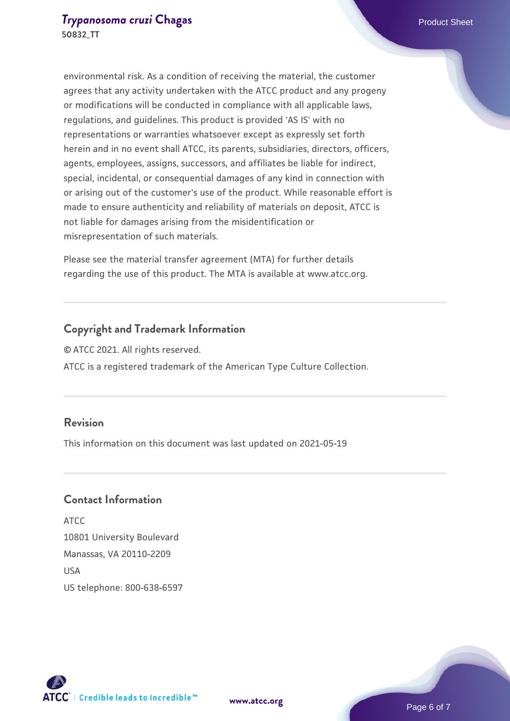environmental risk. As a condition of receiving the material, the customer agrees that any activity undertaken with the ATCC product and any progeny or modifications will be conducted in compliance with all applicable laws, regulations, and guidelines. This product is provided 'AS IS' with no representations or warranties whatsoever except as expressly set forth herein and in no event shall ATCC, its parents, subsidiaries, directors, officers, agents, employees, assigns, successors, and affiliates be liable for indirect, special, incidental, or consequential damages of any kind in connection with or arising out of the customer's use of the product. While reasonable effort is made to ensure authenticity and reliability of materials on deposit, ATCC is not liable for damages arising from the misidentification or misrepresentation of such materials.

Please see the material transfer agreement (MTA) for further details regarding the use of this product. The MTA is available at www.atcc.org.

# **Copyright and Trademark Information**

© ATCC 2021. All rights reserved. ATCC is a registered trademark of the American Type Culture Collection.

# **Revision**

This information on this document was last updated on 2021-05-19

# **Contact Information**

ATCC 10801 University Boulevard Manassas, VA 20110-2209 **IISA** US telephone: 800-638-6597